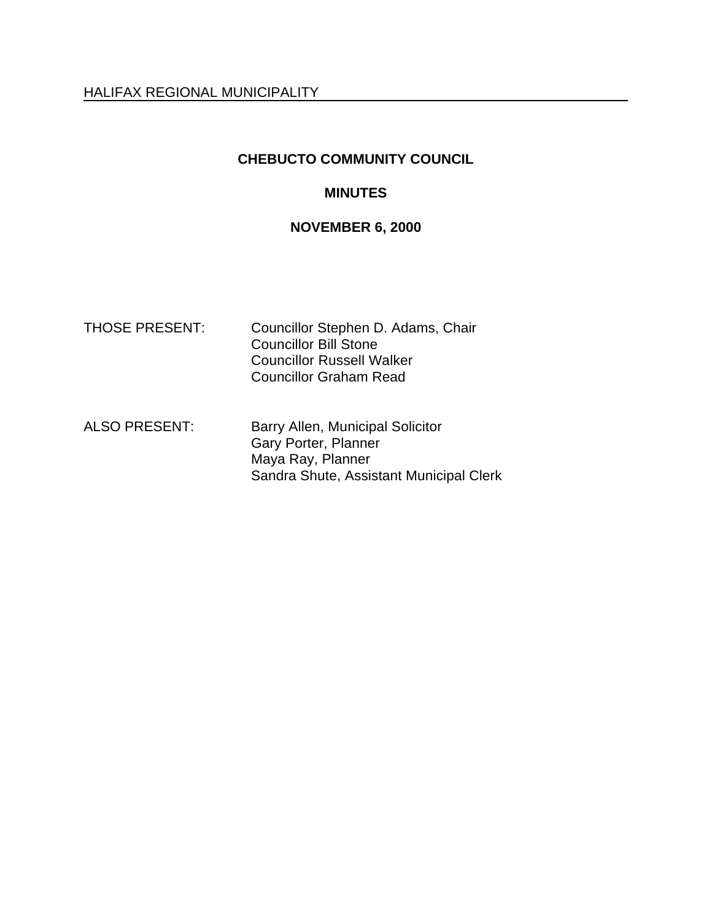# **CHEBUCTO COMMUNITY COUNCIL**

# **MINUTES**

# **NOVEMBER 6, 2000**

| <b>THOSE PRESENT:</b> | Councillor Stephen D. Adams, Chair<br><b>Councillor Bill Stone</b><br><b>Councillor Russell Walker</b><br><b>Councillor Graham Read</b> |
|-----------------------|-----------------------------------------------------------------------------------------------------------------------------------------|
| <b>ALSO PRESENT:</b>  | Barry Allen, Municipal Solicitor<br>Gary Porter, Planner<br>Maya Ray, Planner<br>Sandra Shute, Assistant Municipal Clerk                |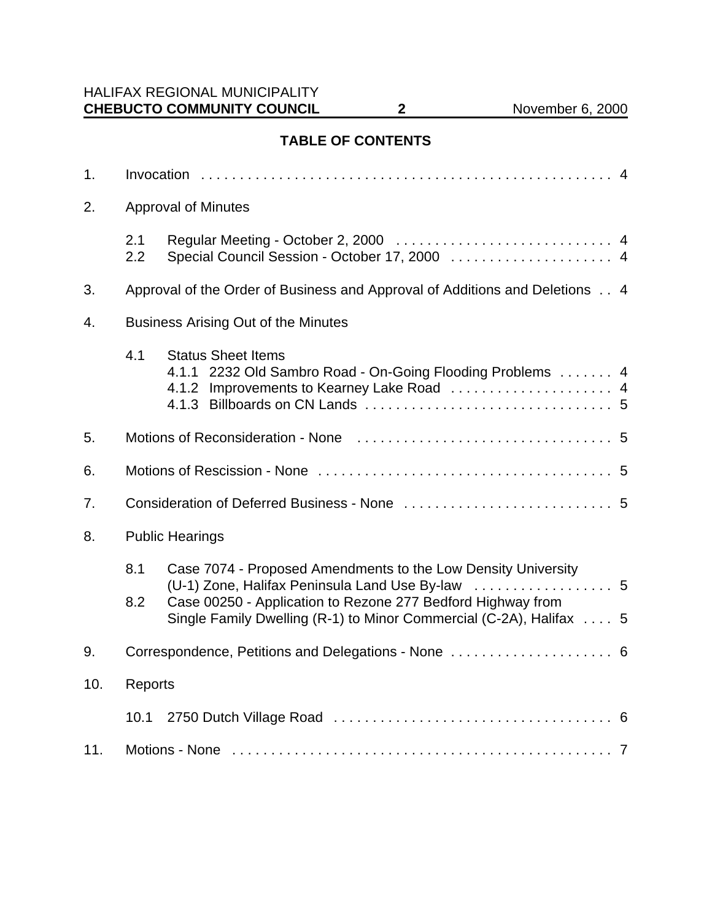# **TABLE OF CONTENTS**

| 1.  |                                            |                                                                                                                                                                                                                                                             |  |
|-----|--------------------------------------------|-------------------------------------------------------------------------------------------------------------------------------------------------------------------------------------------------------------------------------------------------------------|--|
| 2.  | <b>Approval of Minutes</b>                 |                                                                                                                                                                                                                                                             |  |
|     | 2.1<br>2.2                                 |                                                                                                                                                                                                                                                             |  |
| 3.  |                                            | Approval of the Order of Business and Approval of Additions and Deletions 4                                                                                                                                                                                 |  |
| 4.  | <b>Business Arising Out of the Minutes</b> |                                                                                                                                                                                                                                                             |  |
|     | 4.1                                        | <b>Status Sheet Items</b><br>4.1.1 2232 Old Sambro Road - On-Going Flooding Problems 4<br>4.1.2 Improvements to Kearney Lake Road  4                                                                                                                        |  |
| 5.  |                                            |                                                                                                                                                                                                                                                             |  |
| 6.  |                                            |                                                                                                                                                                                                                                                             |  |
| 7.  |                                            |                                                                                                                                                                                                                                                             |  |
| 8.  | <b>Public Hearings</b>                     |                                                                                                                                                                                                                                                             |  |
|     | 8.1<br>8.2                                 | Case 7074 - Proposed Amendments to the Low Density University<br>. 5<br>(U-1) Zone, Halifax Peninsula Land Use By-law<br>Case 00250 - Application to Rezone 277 Bedford Highway from<br>Single Family Dwelling (R-1) to Minor Commercial (C-2A), Halifax  5 |  |
| 9.  |                                            |                                                                                                                                                                                                                                                             |  |
| 10. | Reports                                    |                                                                                                                                                                                                                                                             |  |
|     | 10.1                                       |                                                                                                                                                                                                                                                             |  |
| 11. |                                            |                                                                                                                                                                                                                                                             |  |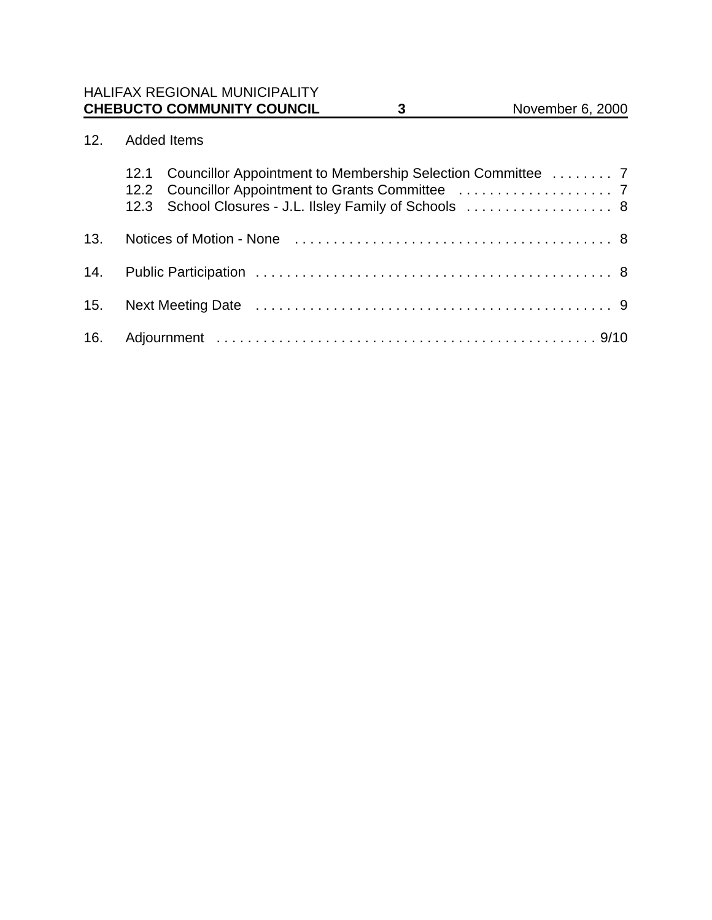# 12. Added Items

|     | 12.1 Councillor Appointment to Membership Selection Committee  7<br>12.3 School Closures - J.L. Ilsley Family of Schools  8 |
|-----|-----------------------------------------------------------------------------------------------------------------------------|
| 13. |                                                                                                                             |
| 14. |                                                                                                                             |
| 15. |                                                                                                                             |
| 16. |                                                                                                                             |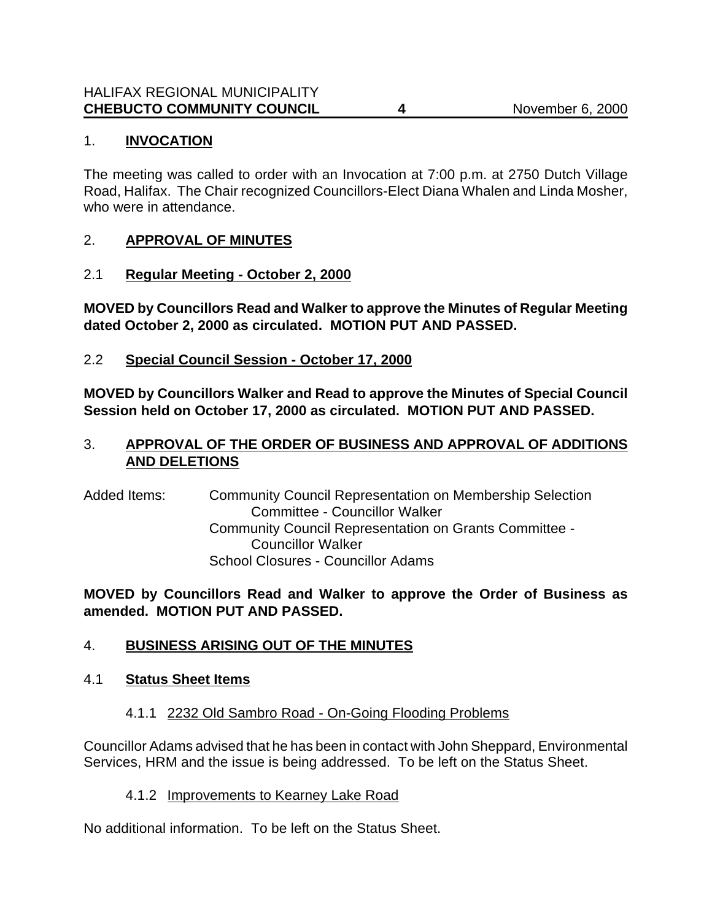### 1. **INVOCATION**

The meeting was called to order with an Invocation at 7:00 p.m. at 2750 Dutch Village Road, Halifax. The Chair recognized Councillors-Elect Diana Whalen and Linda Mosher, who were in attendance.

#### 2. **APPROVAL OF MINUTES**

2.1 **Regular Meeting - October 2, 2000**

**MOVED by Councillors Read and Walker to approve the Minutes of Regular Meeting dated October 2, 2000 as circulated. MOTION PUT AND PASSED.**

2.2 **Special Council Session - October 17, 2000**

**MOVED by Councillors Walker and Read to approve the Minutes of Special Council Session held on October 17, 2000 as circulated. MOTION PUT AND PASSED.**

### 3. **APPROVAL OF THE ORDER OF BUSINESS AND APPROVAL OF ADDITIONS AND DELETIONS**

Added Items: Community Council Representation on Membership Selection Committee - Councillor Walker Community Council Representation on Grants Committee - Councillor Walker School Closures - Councillor Adams

**MOVED by Councillors Read and Walker to approve the Order of Business as amended. MOTION PUT AND PASSED.**

## 4. **BUSINESS ARISING OUT OF THE MINUTES**

#### 4.1 **Status Sheet Items**

## 4.1.1 2232 Old Sambro Road - On-Going Flooding Problems

Councillor Adams advised that he has been in contact with John Sheppard, Environmental Services, HRM and the issue is being addressed. To be left on the Status Sheet.

#### 4.1.2 Improvements to Kearney Lake Road

No additional information. To be left on the Status Sheet.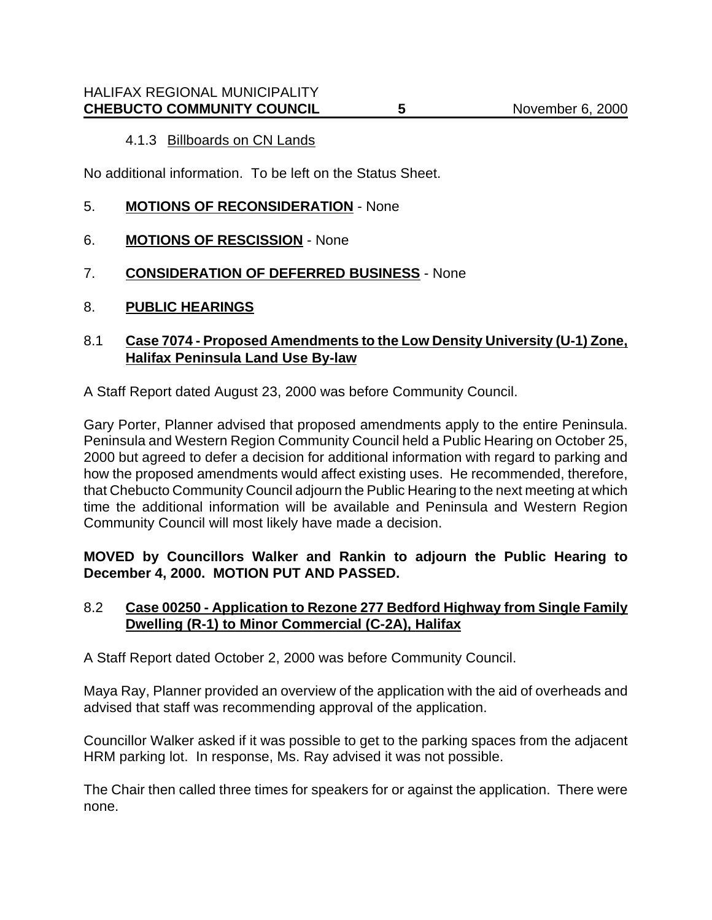#### 4.1.3 Billboards on CN Lands

No additional information. To be left on the Status Sheet.

- 5. **MOTIONS OF RECONSIDERATION** None
- 6. **MOTIONS OF RESCISSION** None
- 7. **CONSIDERATION OF DEFERRED BUSINESS** None
- 8. **PUBLIC HEARINGS**

#### 8.1 **Case 7074 - Proposed Amendments to the Low Density University (U-1) Zone, Halifax Peninsula Land Use By-law**

A Staff Report dated August 23, 2000 was before Community Council.

Gary Porter, Planner advised that proposed amendments apply to the entire Peninsula. Peninsula and Western Region Community Council held a Public Hearing on October 25, 2000 but agreed to defer a decision for additional information with regard to parking and how the proposed amendments would affect existing uses. He recommended, therefore, that Chebucto Community Council adjourn the Public Hearing to the next meeting at which time the additional information will be available and Peninsula and Western Region Community Council will most likely have made a decision.

**MOVED by Councillors Walker and Rankin to adjourn the Public Hearing to December 4, 2000. MOTION PUT AND PASSED.**

#### 8.2 **Case 00250 - Application to Rezone 277 Bedford Highway from Single Family Dwelling (R-1) to Minor Commercial (C-2A), Halifax**

A Staff Report dated October 2, 2000 was before Community Council.

Maya Ray, Planner provided an overview of the application with the aid of overheads and advised that staff was recommending approval of the application.

Councillor Walker asked if it was possible to get to the parking spaces from the adjacent HRM parking lot. In response, Ms. Ray advised it was not possible.

The Chair then called three times for speakers for or against the application. There were none.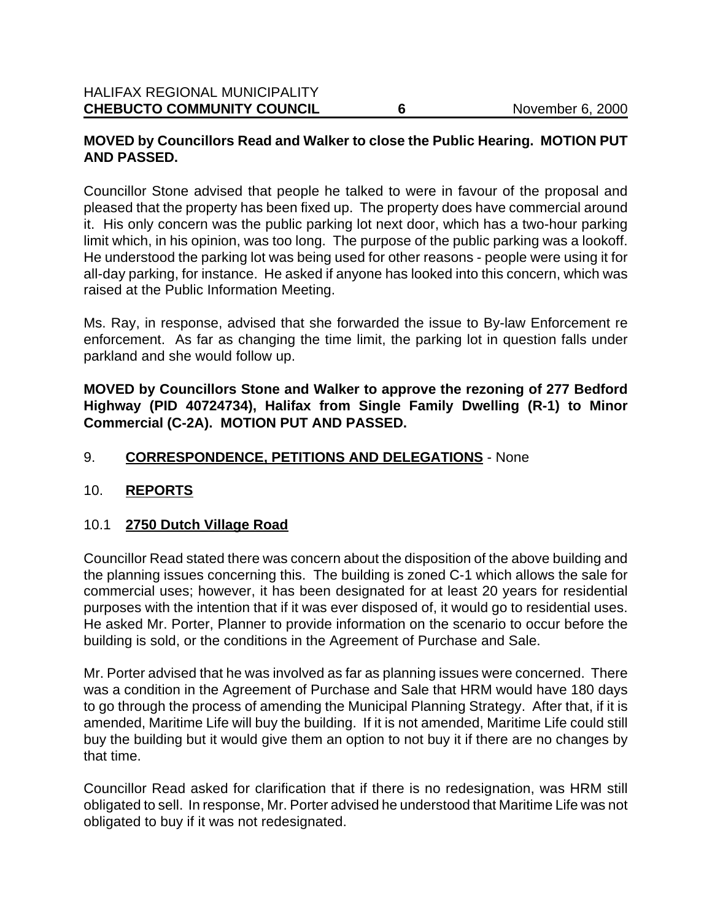### **MOVED by Councillors Read and Walker to close the Public Hearing. MOTION PUT AND PASSED.**

Councillor Stone advised that people he talked to were in favour of the proposal and pleased that the property has been fixed up. The property does have commercial around it. His only concern was the public parking lot next door, which has a two-hour parking limit which, in his opinion, was too long. The purpose of the public parking was a lookoff. He understood the parking lot was being used for other reasons - people were using it for all-day parking, for instance. He asked if anyone has looked into this concern, which was raised at the Public Information Meeting.

Ms. Ray, in response, advised that she forwarded the issue to By-law Enforcement re enforcement. As far as changing the time limit, the parking lot in question falls under parkland and she would follow up.

**MOVED by Councillors Stone and Walker to approve the rezoning of 277 Bedford Highway (PID 40724734), Halifax from Single Family Dwelling (R-1) to Minor Commercial (C-2A). MOTION PUT AND PASSED.**

### 9. **CORRESPONDENCE, PETITIONS AND DELEGATIONS** - None

#### 10. **REPORTS**

#### 10.1 **2750 Dutch Village Road**

Councillor Read stated there was concern about the disposition of the above building and the planning issues concerning this. The building is zoned C-1 which allows the sale for commercial uses; however, it has been designated for at least 20 years for residential purposes with the intention that if it was ever disposed of, it would go to residential uses. He asked Mr. Porter, Planner to provide information on the scenario to occur before the building is sold, or the conditions in the Agreement of Purchase and Sale.

Mr. Porter advised that he was involved as far as planning issues were concerned. There was a condition in the Agreement of Purchase and Sale that HRM would have 180 days to go through the process of amending the Municipal Planning Strategy. After that, if it is amended, Maritime Life will buy the building. If it is not amended, Maritime Life could still buy the building but it would give them an option to not buy it if there are no changes by that time.

Councillor Read asked for clarification that if there is no redesignation, was HRM still obligated to sell. In response, Mr. Porter advised he understood that Maritime Life was not obligated to buy if it was not redesignated.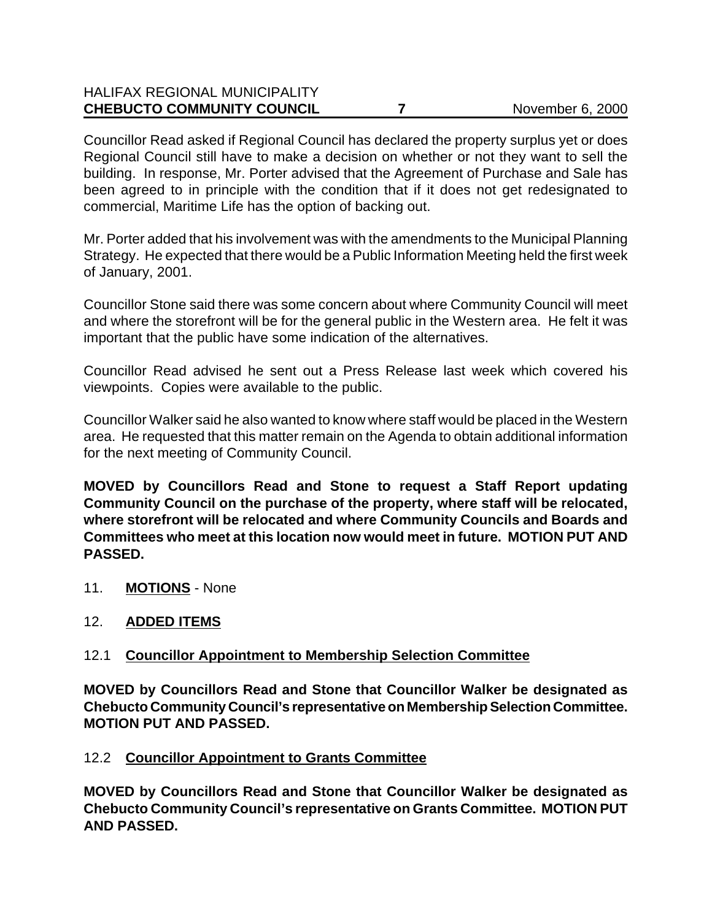# HALIFAX REGIONAL MUNICIPALITY **CHEBUCTO COMMUNITY COUNCIL 7** 7 November 6, 2000

Councillor Read asked if Regional Council has declared the property surplus yet or does Regional Council still have to make a decision on whether or not they want to sell the building. In response, Mr. Porter advised that the Agreement of Purchase and Sale has been agreed to in principle with the condition that if it does not get redesignated to commercial, Maritime Life has the option of backing out.

Mr. Porter added that his involvement was with the amendments to the Municipal Planning Strategy. He expected that there would be a Public Information Meeting held the first week of January, 2001.

Councillor Stone said there was some concern about where Community Council will meet and where the storefront will be for the general public in the Western area. He felt it was important that the public have some indication of the alternatives.

Councillor Read advised he sent out a Press Release last week which covered his viewpoints. Copies were available to the public.

Councillor Walker said he also wanted to know where staff would be placed in the Western area. He requested that this matter remain on the Agenda to obtain additional information for the next meeting of Community Council.

**MOVED by Councillors Read and Stone to request a Staff Report updating Community Council on the purchase of the property, where staff will be relocated, where storefront will be relocated and where Community Councils and Boards and Committees who meet at this location now would meet in future. MOTION PUT AND PASSED.**

11. **MOTIONS** - None

## 12. **ADDED ITEMS**

## 12.1 **Councillor Appointment to Membership Selection Committee**

**MOVED by Councillors Read and Stone that Councillor Walker be designated as Chebucto Community Council's representative on Membership Selection Committee. MOTION PUT AND PASSED.**

## 12.2 **Councillor Appointment to Grants Committee**

**MOVED by Councillors Read and Stone that Councillor Walker be designated as Chebucto Community Council's representative on Grants Committee. MOTION PUT AND PASSED.**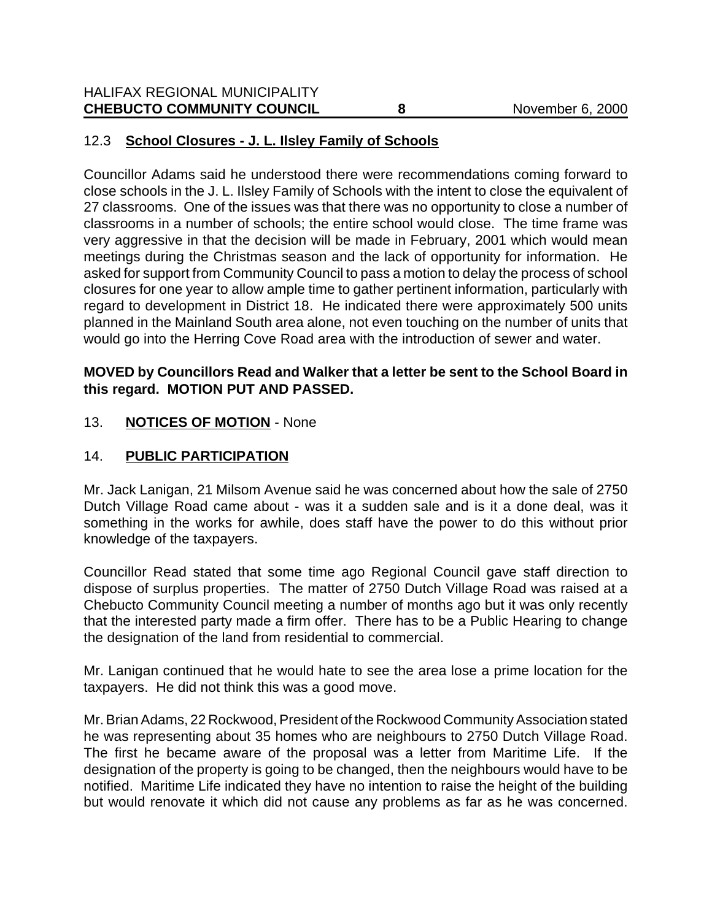# 12.3 **School Closures - J. L. Ilsley Family of Schools**

Councillor Adams said he understood there were recommendations coming forward to close schools in the J. L. Ilsley Family of Schools with the intent to close the equivalent of 27 classrooms. One of the issues was that there was no opportunity to close a number of classrooms in a number of schools; the entire school would close. The time frame was very aggressive in that the decision will be made in February, 2001 which would mean meetings during the Christmas season and the lack of opportunity for information. He asked for support from Community Council to pass a motion to delay the process of school closures for one year to allow ample time to gather pertinent information, particularly with regard to development in District 18. He indicated there were approximately 500 units planned in the Mainland South area alone, not even touching on the number of units that would go into the Herring Cove Road area with the introduction of sewer and water.

#### **MOVED by Councillors Read and Walker that a letter be sent to the School Board in this regard. MOTION PUT AND PASSED.**

#### 13. **NOTICES OF MOTION** - None

## 14. **PUBLIC PARTICIPATION**

Mr. Jack Lanigan, 21 Milsom Avenue said he was concerned about how the sale of 2750 Dutch Village Road came about - was it a sudden sale and is it a done deal, was it something in the works for awhile, does staff have the power to do this without prior knowledge of the taxpayers.

Councillor Read stated that some time ago Regional Council gave staff direction to dispose of surplus properties. The matter of 2750 Dutch Village Road was raised at a Chebucto Community Council meeting a number of months ago but it was only recently that the interested party made a firm offer. There has to be a Public Hearing to change the designation of the land from residential to commercial.

Mr. Lanigan continued that he would hate to see the area lose a prime location for the taxpayers. He did not think this was a good move.

Mr. Brian Adams, 22 Rockwood, President of the Rockwood Community Association stated he was representing about 35 homes who are neighbours to 2750 Dutch Village Road. The first he became aware of the proposal was a letter from Maritime Life. If the designation of the property is going to be changed, then the neighbours would have to be notified. Maritime Life indicated they have no intention to raise the height of the building but would renovate it which did not cause any problems as far as he was concerned.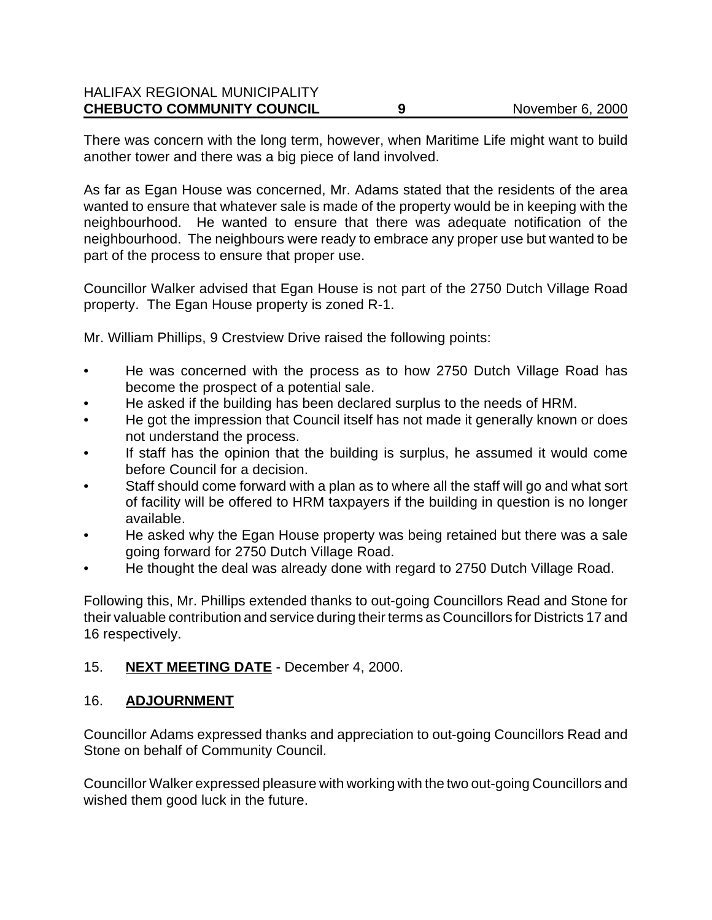#### HALIFAX REGIONAL MUNICIPALITY **CHEBUCTO COMMUNITY COUNCIL 9** November 6, 2000

There was concern with the long term, however, when Maritime Life might want to build another tower and there was a big piece of land involved.

As far as Egan House was concerned, Mr. Adams stated that the residents of the area wanted to ensure that whatever sale is made of the property would be in keeping with the neighbourhood. He wanted to ensure that there was adequate notification of the neighbourhood. The neighbours were ready to embrace any proper use but wanted to be part of the process to ensure that proper use.

Councillor Walker advised that Egan House is not part of the 2750 Dutch Village Road property. The Egan House property is zoned R-1.

Mr. William Phillips, 9 Crestview Drive raised the following points:

- He was concerned with the process as to how 2750 Dutch Village Road has become the prospect of a potential sale.
- He asked if the building has been declared surplus to the needs of HRM.
- He got the impression that Council itself has not made it generally known or does not understand the process.
- If staff has the opinion that the building is surplus, he assumed it would come before Council for a decision.
- Staff should come forward with a plan as to where all the staff will go and what sort of facility will be offered to HRM taxpayers if the building in question is no longer available.
- He asked why the Egan House property was being retained but there was a sale going forward for 2750 Dutch Village Road.
- He thought the deal was already done with regard to 2750 Dutch Village Road.

Following this, Mr. Phillips extended thanks to out-going Councillors Read and Stone for their valuable contribution and service during their terms as Councillors for Districts 17 and 16 respectively.

## 15. **NEXT MEETING DATE** - December 4, 2000.

#### 16. **ADJOURNMENT**

Councillor Adams expressed thanks and appreciation to out-going Councillors Read and Stone on behalf of Community Council.

Councillor Walker expressed pleasure with working with the two out-going Councillors and wished them good luck in the future.